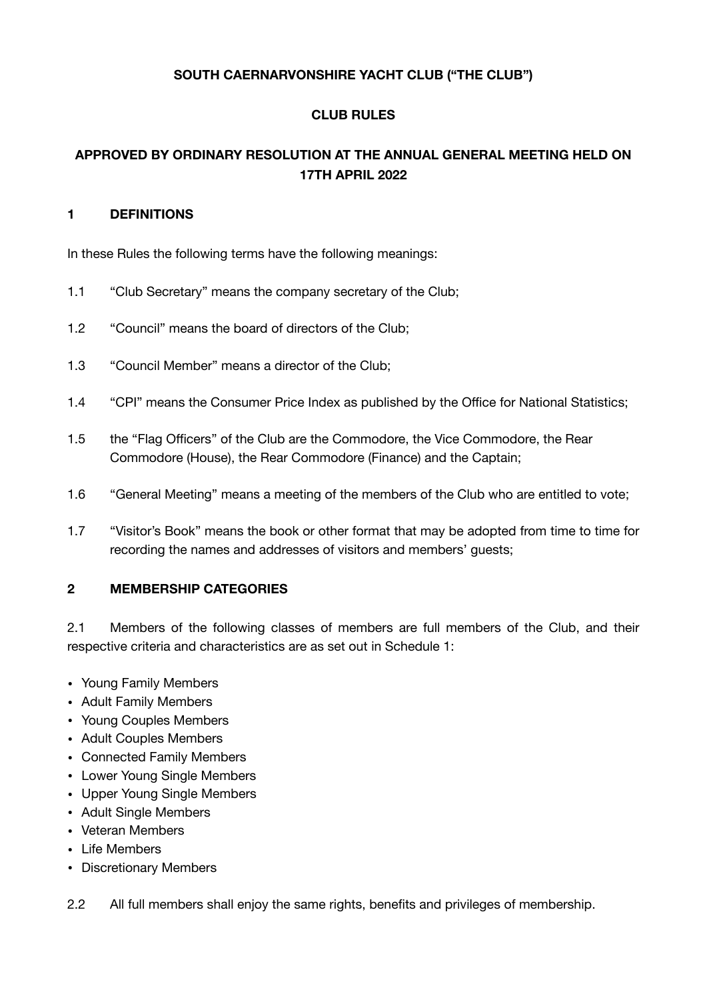## **SOUTH CAERNARVONSHIRE YACHT CLUB ("THE CLUB")**

## **CLUB RULES**

# **APPROVED BY ORDINARY RESOLUTION AT THE ANNUAL GENERAL MEETING HELD ON 17TH APRIL 2022**

### **1 DEFINITIONS**

In these Rules the following terms have the following meanings:

- 1.1 "Club Secretary" means the company secretary of the Club;
- 1.2 "Council" means the board of directors of the Club;
- 1.3 "Council Member" means a director of the Club;
- 1.4 "CPI" means the Consumer Price Index as published by the Office for National Statistics;
- 1.5 the "Flag Officers" of the Club are the Commodore, the Vice Commodore, the Rear Commodore (House), the Rear Commodore (Finance) and the Captain;
- 1.6 "General Meeting" means a meeting of the members of the Club who are entitled to vote;
- 1.7 "Visitor's Book" means the book or other format that may be adopted from time to time for recording the names and addresses of visitors and members' guests;

## **2 MEMBERSHIP CATEGORIES**

2.1 Members of the following classes of members are full members of the Club, and their respective criteria and characteristics are as set out in Schedule 1:

- Young Family Members
- Adult Family Members
- Young Couples Members
- Adult Couples Members
- Connected Family Members
- Lower Young Single Members
- Upper Young Single Members
- Adult Single Members
- Veteran Members
- Life Members
- Discretionary Members

2.2 All full members shall enjoy the same rights, benefits and privileges of membership.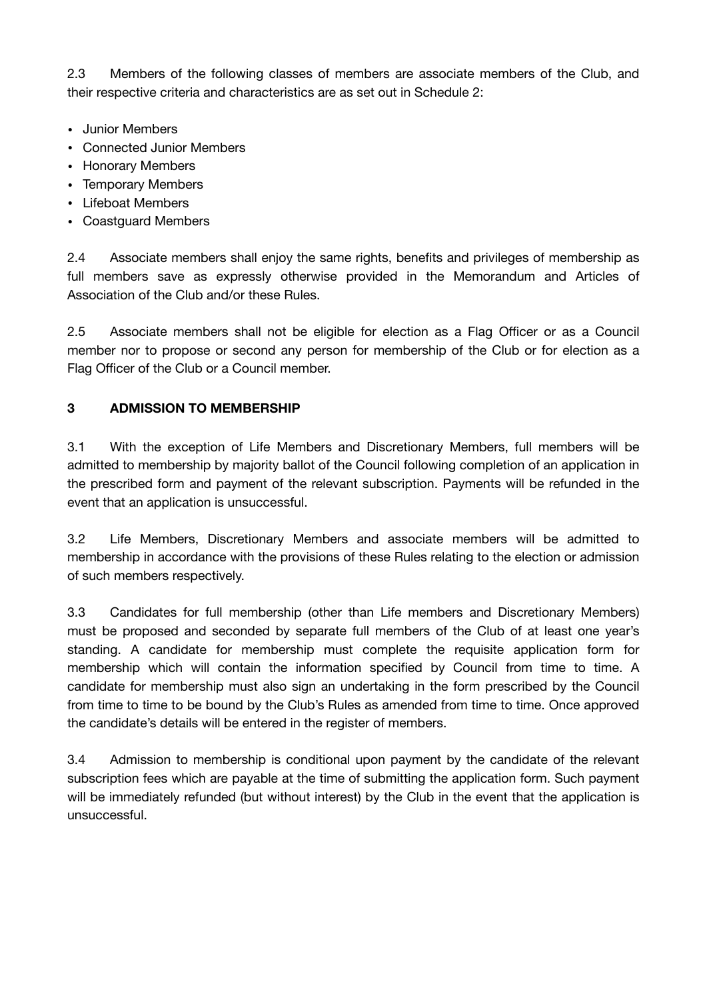2.3 Members of the following classes of members are associate members of the Club, and their respective criteria and characteristics are as set out in Schedule 2:

- Junior Members
- Connected Junior Members
- Honorary Members
- Temporary Members
- Lifeboat Members
- Coastguard Members

2.4 Associate members shall enjoy the same rights, benefits and privileges of membership as full members save as expressly otherwise provided in the Memorandum and Articles of Association of the Club and/or these Rules. 

2.5 Associate members shall not be eligible for election as a Flag Officer or as a Council member nor to propose or second any person for membership of the Club or for election as a Flag Officer of the Club or a Council member.

# **3 ADMISSION TO MEMBERSHIP**

3.1 With the exception of Life Members and Discretionary Members, full members will be admitted to membership by majority ballot of the Council following completion of an application in the prescribed form and payment of the relevant subscription. Payments will be refunded in the event that an application is unsuccessful.

3.2 Life Members, Discretionary Members and associate members will be admitted to membership in accordance with the provisions of these Rules relating to the election or admission of such members respectively.

3.3 Candidates for full membership (other than Life members and Discretionary Members) must be proposed and seconded by separate full members of the Club of at least one year's standing. A candidate for membership must complete the requisite application form for membership which will contain the information specified by Council from time to time. A candidate for membership must also sign an undertaking in the form prescribed by the Council from time to time to be bound by the Club's Rules as amended from time to time. Once approved the candidate's details will be entered in the register of members.

3.4 Admission to membership is conditional upon payment by the candidate of the relevant subscription fees which are payable at the time of submitting the application form. Such payment will be immediately refunded (but without interest) by the Club in the event that the application is unsuccessful.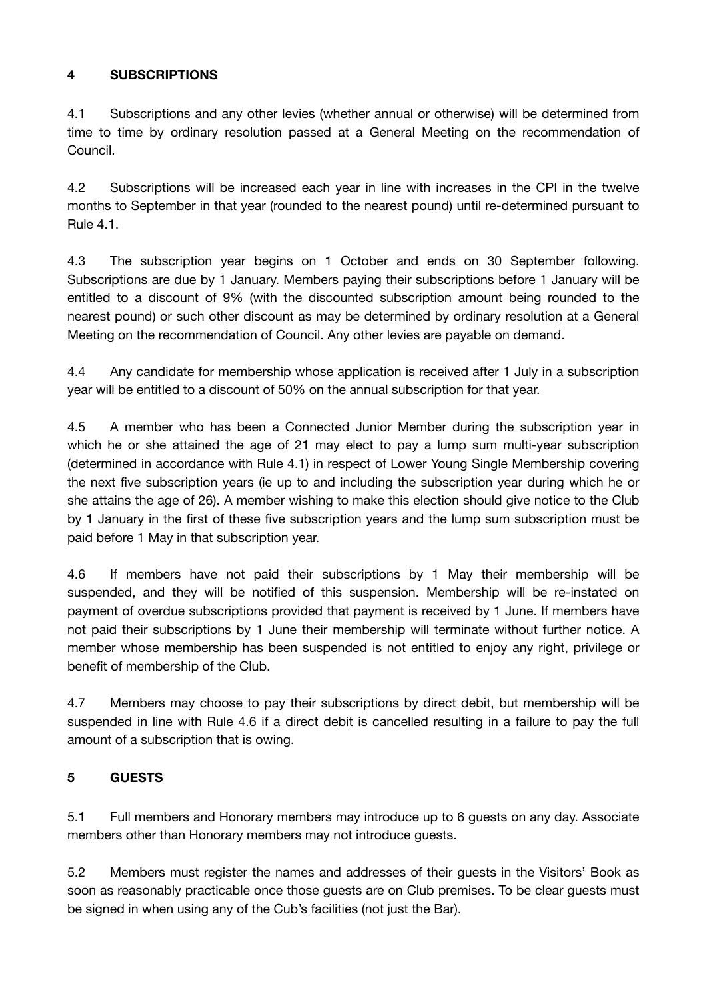# **4 SUBSCRIPTIONS**

4.1 Subscriptions and any other levies (whether annual or otherwise) will be determined from time to time by ordinary resolution passed at a General Meeting on the recommendation of Council.

4.2 Subscriptions will be increased each year in line with increases in the CPI in the twelve months to September in that year (rounded to the nearest pound) until re-determined pursuant to Rule 4.1.

4.3 The subscription year begins on 1 October and ends on 30 September following. Subscriptions are due by 1 January. Members paying their subscriptions before 1 January will be entitled to a discount of 9% (with the discounted subscription amount being rounded to the nearest pound) or such other discount as may be determined by ordinary resolution at a General Meeting on the recommendation of Council. Any other levies are payable on demand.

4.4 Any candidate for membership whose application is received after 1 July in a subscription year will be entitled to a discount of 50% on the annual subscription for that year.

4.5 A member who has been a Connected Junior Member during the subscription year in which he or she attained the age of 21 may elect to pay a lump sum multi-year subscription (determined in accordance with Rule 4.1) in respect of Lower Young Single Membership covering the next five subscription years (ie up to and including the subscription year during which he or she attains the age of 26). A member wishing to make this election should give notice to the Club by 1 January in the first of these five subscription years and the lump sum subscription must be paid before 1 May in that subscription year.

4.6 If members have not paid their subscriptions by 1 May their membership will be suspended, and they will be notified of this suspension. Membership will be re-instated on payment of overdue subscriptions provided that payment is received by 1 June. If members have not paid their subscriptions by 1 June their membership will terminate without further notice. A member whose membership has been suspended is not entitled to enjoy any right, privilege or benefit of membership of the Club.

4.7 Members may choose to pay their subscriptions by direct debit, but membership will be suspended in line with Rule 4.6 if a direct debit is cancelled resulting in a failure to pay the full amount of a subscription that is owing.

# **5 GUESTS**

5.1 Full members and Honorary members may introduce up to 6 guests on any day. Associate members other than Honorary members may not introduce guests.

5.2 Members must register the names and addresses of their guests in the Visitors' Book as soon as reasonably practicable once those guests are on Club premises. To be clear guests must be signed in when using any of the Cub's facilities (not just the Bar).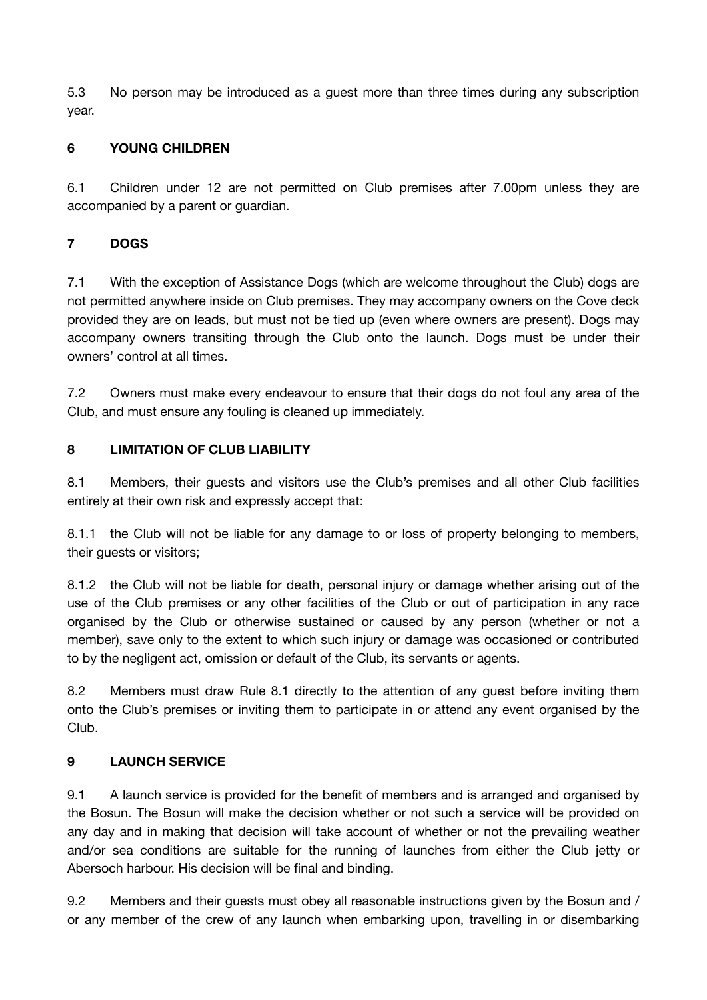5.3 No person may be introduced as a guest more than three times during any subscription year.

# **6 YOUNG CHILDREN**

6.1 Children under 12 are not permitted on Club premises after 7.00pm unless they are accompanied by a parent or guardian.

# **7 DOGS**

7.1 With the exception of Assistance Dogs (which are welcome throughout the Club) dogs are not permitted anywhere inside on Club premises. They may accompany owners on the Cove deck provided they are on leads, but must not be tied up (even where owners are present). Dogs may accompany owners transiting through the Club onto the launch. Dogs must be under their owners' control at all times.

7.2 Owners must make every endeavour to ensure that their dogs do not foul any area of the Club, and must ensure any fouling is cleaned up immediately.

# **8 LIMITATION OF CLUB LIABILITY**

8.1 Members, their guests and visitors use the Club's premises and all other Club facilities entirely at their own risk and expressly accept that:

8.1.1 the Club will not be liable for any damage to or loss of property belonging to members, their guests or visitors;

8.1.2 the Club will not be liable for death, personal injury or damage whether arising out of the use of the Club premises or any other facilities of the Club or out of participation in any race organised by the Club or otherwise sustained or caused by any person (whether or not a member), save only to the extent to which such injury or damage was occasioned or contributed to by the negligent act, omission or default of the Club, its servants or agents.

8.2 Members must draw Rule 8.1 directly to the attention of any guest before inviting them onto the Club's premises or inviting them to participate in or attend any event organised by the Club.

## **9 LAUNCH SERVICE**

9.1 A launch service is provided for the benefit of members and is arranged and organised by the Bosun. The Bosun will make the decision whether or not such a service will be provided on any day and in making that decision will take account of whether or not the prevailing weather and/or sea conditions are suitable for the running of launches from either the Club jetty or Abersoch harbour. His decision will be final and binding.

9.2 Members and their guests must obey all reasonable instructions given by the Bosun and / or any member of the crew of any launch when embarking upon, travelling in or disembarking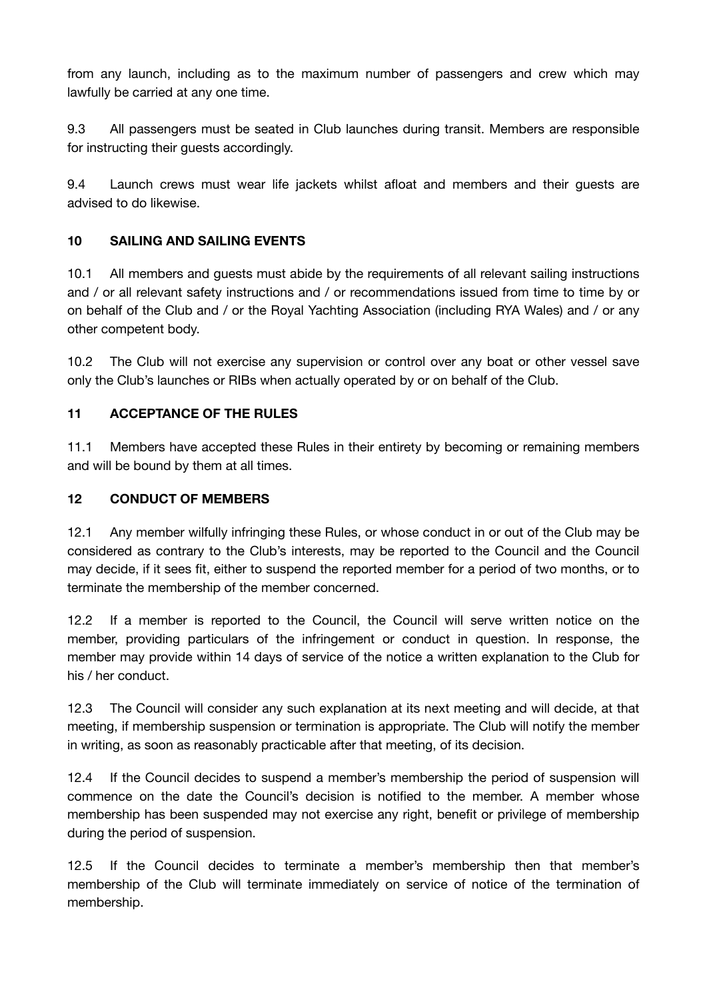from any launch, including as to the maximum number of passengers and crew which may lawfully be carried at any one time.

9.3 All passengers must be seated in Club launches during transit. Members are responsible for instructing their guests accordingly.

9.4 Launch crews must wear life jackets whilst afloat and members and their guests are advised to do likewise.

# **10 SAILING AND SAILING EVENTS**

10.1 All members and guests must abide by the requirements of all relevant sailing instructions and / or all relevant safety instructions and / or recommendations issued from time to time by or on behalf of the Club and / or the Royal Yachting Association (including RYA Wales) and / or any other competent body.

10.2 The Club will not exercise any supervision or control over any boat or other vessel save only the Club's launches or RIBs when actually operated by or on behalf of the Club.

## **11 ACCEPTANCE OF THE RULES**

11.1 Members have accepted these Rules in their entirety by becoming or remaining members and will be bound by them at all times.

## **12 CONDUCT OF MEMBERS**

12.1 Any member wilfully infringing these Rules, or whose conduct in or out of the Club may be considered as contrary to the Club's interests, may be reported to the Council and the Council may decide, if it sees fit, either to suspend the reported member for a period of two months, or to terminate the membership of the member concerned.

12.2 If a member is reported to the Council, the Council will serve written notice on the member, providing particulars of the infringement or conduct in question. In response, the member may provide within 14 days of service of the notice a written explanation to the Club for his / her conduct.

12.3 The Council will consider any such explanation at its next meeting and will decide, at that meeting, if membership suspension or termination is appropriate. The Club will notify the member in writing, as soon as reasonably practicable after that meeting, of its decision.

12.4 If the Council decides to suspend a member's membership the period of suspension will commence on the date the Council's decision is notified to the member. A member whose membership has been suspended may not exercise any right, benefit or privilege of membership during the period of suspension.

12.5 If the Council decides to terminate a member's membership then that member's membership of the Club will terminate immediately on service of notice of the termination of membership.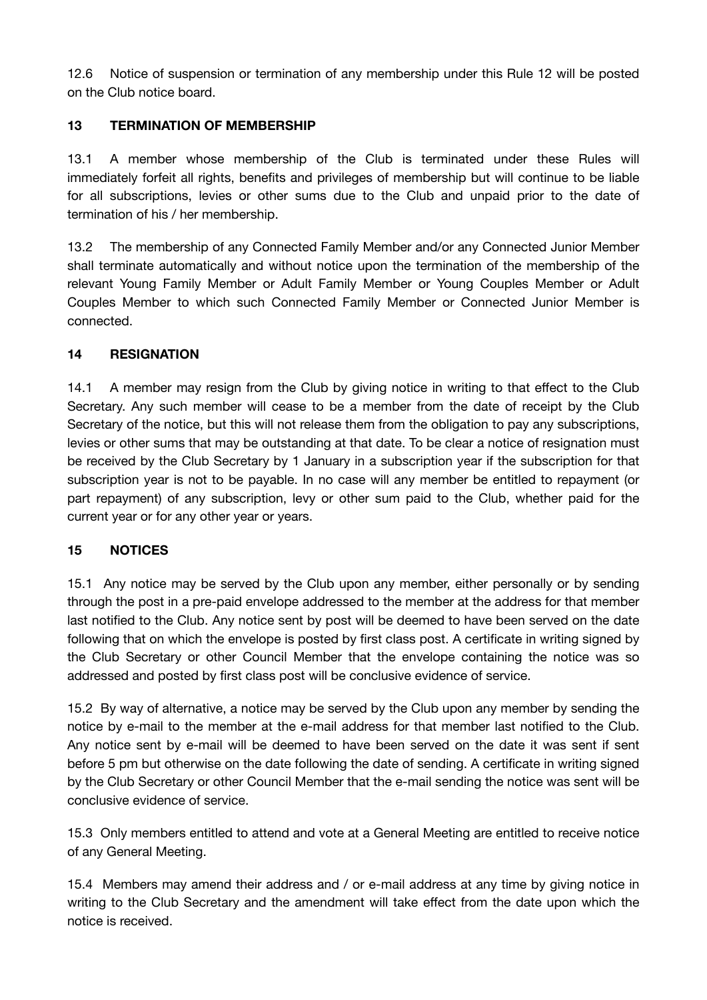12.6 Notice of suspension or termination of any membership under this Rule 12 will be posted on the Club notice board.

# **13 TERMINATION OF MEMBERSHIP**

13.1 A member whose membership of the Club is terminated under these Rules will immediately forfeit all rights, benefits and privileges of membership but will continue to be liable for all subscriptions, levies or other sums due to the Club and unpaid prior to the date of termination of his / her membership.

13.2 The membership of any Connected Family Member and/or any Connected Junior Member shall terminate automatically and without notice upon the termination of the membership of the relevant Young Family Member or Adult Family Member or Young Couples Member or Adult Couples Member to which such Connected Family Member or Connected Junior Member is connected.

## **14 RESIGNATION**

14.1 A member may resign from the Club by giving notice in writing to that effect to the Club Secretary. Any such member will cease to be a member from the date of receipt by the Club Secretary of the notice, but this will not release them from the obligation to pay any subscriptions, levies or other sums that may be outstanding at that date. To be clear a notice of resignation must be received by the Club Secretary by 1 January in a subscription year if the subscription for that subscription year is not to be payable. In no case will any member be entitled to repayment (or part repayment) of any subscription, levy or other sum paid to the Club, whether paid for the current year or for any other year or years.

## **15 NOTICES**

15.1 Any notice may be served by the Club upon any member, either personally or by sending through the post in a pre-paid envelope addressed to the member at the address for that member last notified to the Club. Any notice sent by post will be deemed to have been served on the date following that on which the envelope is posted by first class post. A certificate in writing signed by the Club Secretary or other Council Member that the envelope containing the notice was so addressed and posted by first class post will be conclusive evidence of service.

15.2 By way of alternative, a notice may be served by the Club upon any member by sending the notice by e-mail to the member at the e-mail address for that member last notified to the Club. Any notice sent by e-mail will be deemed to have been served on the date it was sent if sent before 5 pm but otherwise on the date following the date of sending. A certificate in writing signed by the Club Secretary or other Council Member that the e-mail sending the notice was sent will be conclusive evidence of service.

15.3 Only members entitled to attend and vote at a General Meeting are entitled to receive notice of any General Meeting.

15.4 Members may amend their address and / or e-mail address at any time by giving notice in writing to the Club Secretary and the amendment will take effect from the date upon which the notice is received.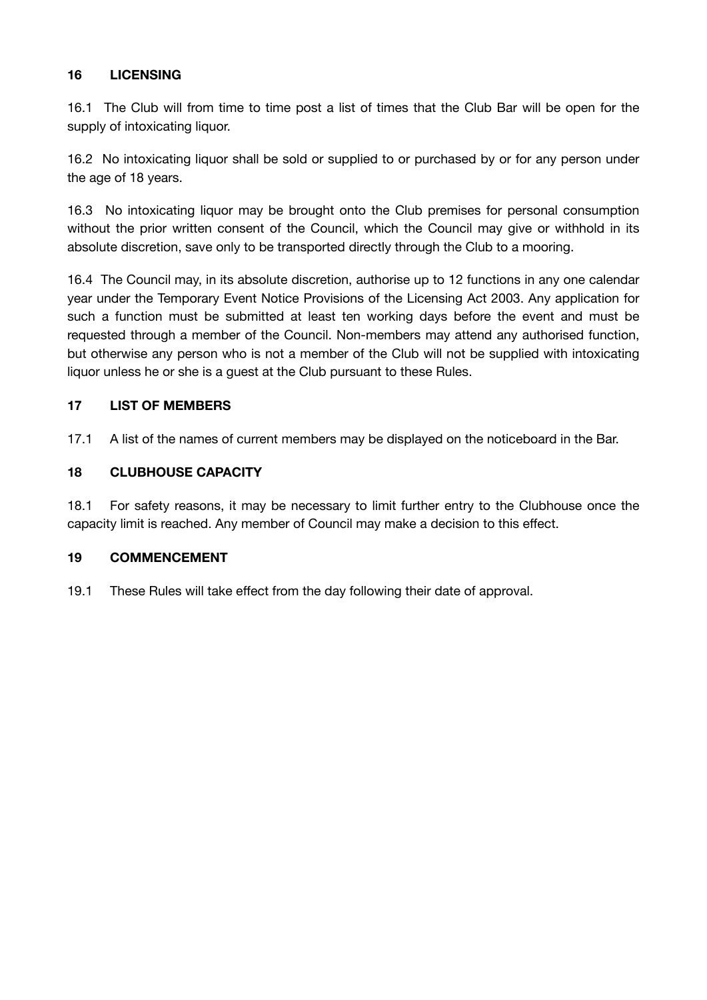# **16 LICENSING**

16.1 The Club will from time to time post a list of times that the Club Bar will be open for the supply of intoxicating liquor.

16.2 No intoxicating liquor shall be sold or supplied to or purchased by or for any person under the age of 18 years.

16.3 No intoxicating liquor may be brought onto the Club premises for personal consumption without the prior written consent of the Council, which the Council may give or withhold in its absolute discretion, save only to be transported directly through the Club to a mooring.

16.4 The Council may, in its absolute discretion, authorise up to 12 functions in any one calendar year under the Temporary Event Notice Provisions of the Licensing Act 2003. Any application for such a function must be submitted at least ten working days before the event and must be requested through a member of the Council. Non-members may attend any authorised function, but otherwise any person who is not a member of the Club will not be supplied with intoxicating liquor unless he or she is a guest at the Club pursuant to these Rules.

## **17 LIST OF MEMBERS**

17.1 A list of the names of current members may be displayed on the noticeboard in the Bar.

### **18 CLUBHOUSE CAPACITY**

18.1 For safety reasons, it may be necessary to limit further entry to the Clubhouse once the capacity limit is reached. Any member of Council may make a decision to this effect.

#### **19 COMMENCEMENT**

19.1 These Rules will take effect from the day following their date of approval.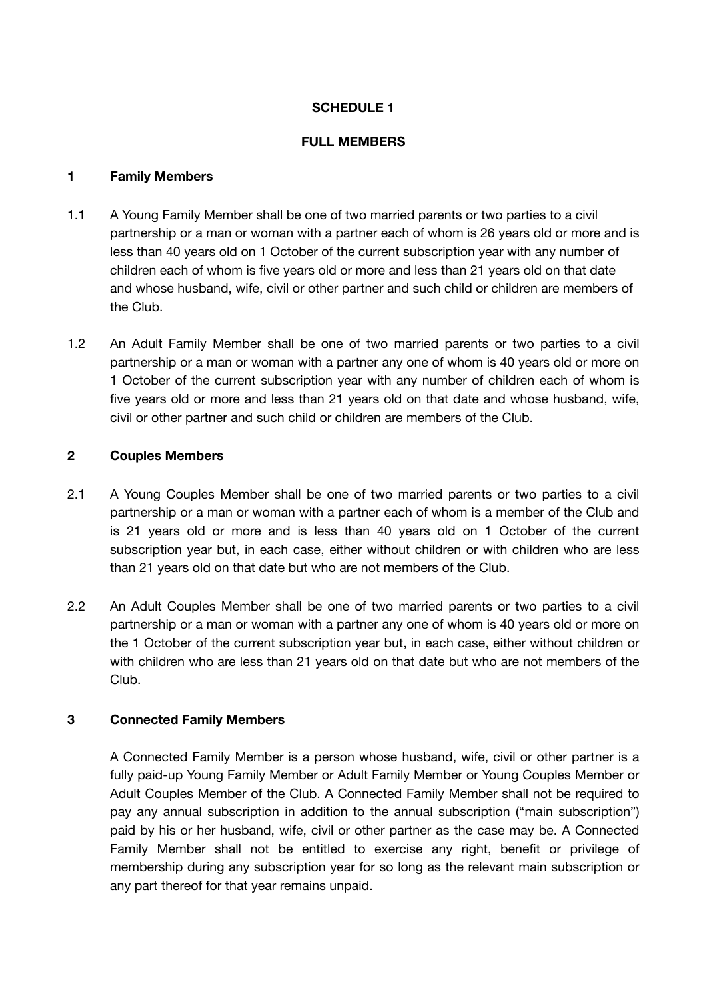### **SCHEDULE 1**

#### **FULL MEMBERS**

#### **1 Family Members**

- 1.1 A Young Family Member shall be one of two married parents or two parties to a civil partnership or a man or woman with a partner each of whom is 26 years old or more and is less than 40 years old on 1 October of the current subscription year with any number of children each of whom is five years old or more and less than 21 years old on that date and whose husband, wife, civil or other partner and such child or children are members of the Club.
- 1.2 An Adult Family Member shall be one of two married parents or two parties to a civil partnership or a man or woman with a partner any one of whom is 40 years old or more on 1 October of the current subscription year with any number of children each of whom is five years old or more and less than 21 years old on that date and whose husband, wife, civil or other partner and such child or children are members of the Club.

### **2 Couples Members**

- 2.1 A Young Couples Member shall be one of two married parents or two parties to a civil partnership or a man or woman with a partner each of whom is a member of the Club and is 21 years old or more and is less than 40 years old on 1 October of the current subscription year but, in each case, either without children or with children who are less than 21 years old on that date but who are not members of the Club.
- 2.2 An Adult Couples Member shall be one of two married parents or two parties to a civil partnership or a man or woman with a partner any one of whom is 40 years old or more on the 1 October of the current subscription year but, in each case, either without children or with children who are less than 21 years old on that date but who are not members of the Club.

#### **3 Connected Family Members**

A Connected Family Member is a person whose husband, wife, civil or other partner is a fully paid-up Young Family Member or Adult Family Member or Young Couples Member or Adult Couples Member of the Club. A Connected Family Member shall not be required to pay any annual subscription in addition to the annual subscription ("main subscription") paid by his or her husband, wife, civil or other partner as the case may be. A Connected Family Member shall not be entitled to exercise any right, benefit or privilege of membership during any subscription year for so long as the relevant main subscription or any part thereof for that year remains unpaid.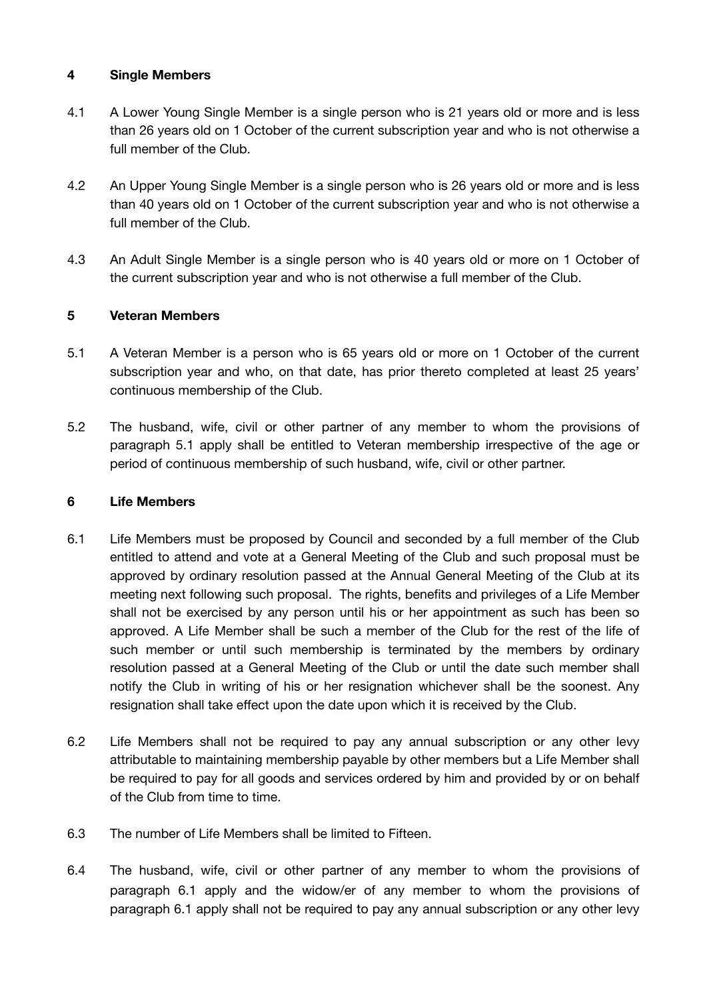### **4 Single Members**

- 4.1 A Lower Young Single Member is a single person who is 21 years old or more and is less than 26 years old on 1 October of the current subscription year and who is not otherwise a full member of the Club.
- 4.2 An Upper Young Single Member is a single person who is 26 years old or more and is less than 40 years old on 1 October of the current subscription year and who is not otherwise a full member of the Club.
- 4.3 An Adult Single Member is a single person who is 40 years old or more on 1 October of the current subscription year and who is not otherwise a full member of the Club.

## **5 Veteran Members**

- 5.1 A Veteran Member is a person who is 65 years old or more on 1 October of the current subscription year and who, on that date, has prior thereto completed at least 25 years' continuous membership of the Club.
- 5.2 The husband, wife, civil or other partner of any member to whom the provisions of paragraph 5.1 apply shall be entitled to Veteran membership irrespective of the age or period of continuous membership of such husband, wife, civil or other partner.

#### **6 Life Members**

- 6.1 Life Members must be proposed by Council and seconded by a full member of the Club entitled to attend and vote at a General Meeting of the Club and such proposal must be approved by ordinary resolution passed at the Annual General Meeting of the Club at its meeting next following such proposal. The rights, benefits and privileges of a Life Member shall not be exercised by any person until his or her appointment as such has been so approved. A Life Member shall be such a member of the Club for the rest of the life of such member or until such membership is terminated by the members by ordinary resolution passed at a General Meeting of the Club or until the date such member shall notify the Club in writing of his or her resignation whichever shall be the soonest. Any resignation shall take effect upon the date upon which it is received by the Club.
- 6.2 Life Members shall not be required to pay any annual subscription or any other levy attributable to maintaining membership payable by other members but a Life Member shall be required to pay for all goods and services ordered by him and provided by or on behalf of the Club from time to time.
- 6.3 The number of Life Members shall be limited to Fifteen.
- 6.4 The husband, wife, civil or other partner of any member to whom the provisions of paragraph 6.1 apply and the widow/er of any member to whom the provisions of paragraph 6.1 apply shall not be required to pay any annual subscription or any other levy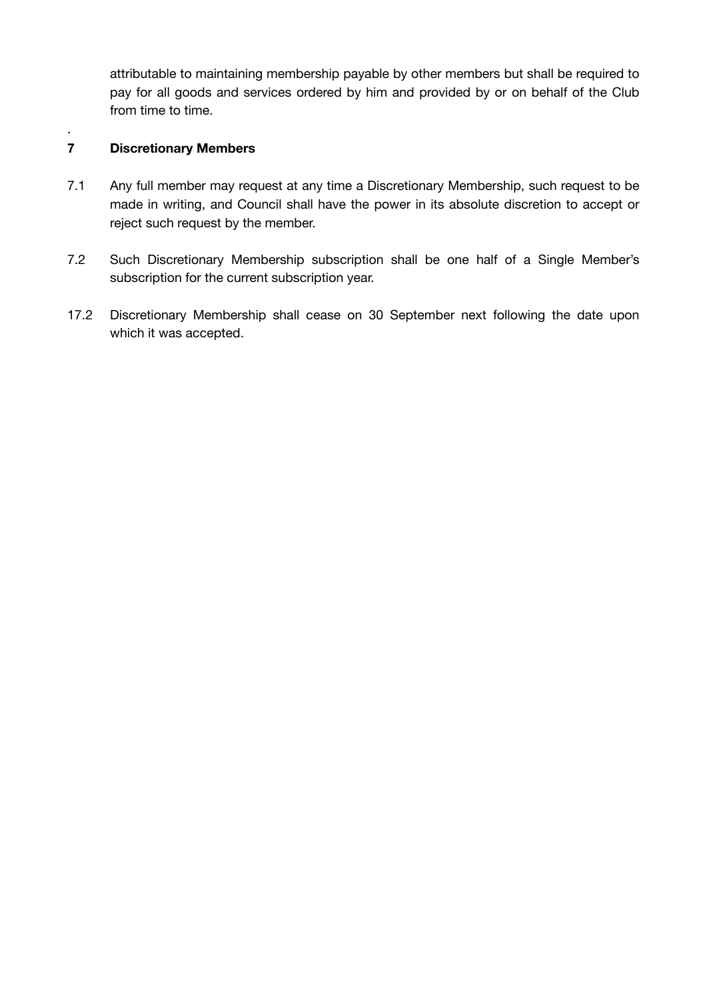attributable to maintaining membership payable by other members but shall be required to pay for all goods and services ordered by him and provided by or on behalf of the Club from time to time.

## **7 Discretionary Members**

.

- 7.1 Any full member may request at any time a Discretionary Membership, such request to be made in writing, and Council shall have the power in its absolute discretion to accept or reject such request by the member.
- 7.2 Such Discretionary Membership subscription shall be one half of a Single Member's subscription for the current subscription year.
- 17.2 Discretionary Membership shall cease on 30 September next following the date upon which it was accepted.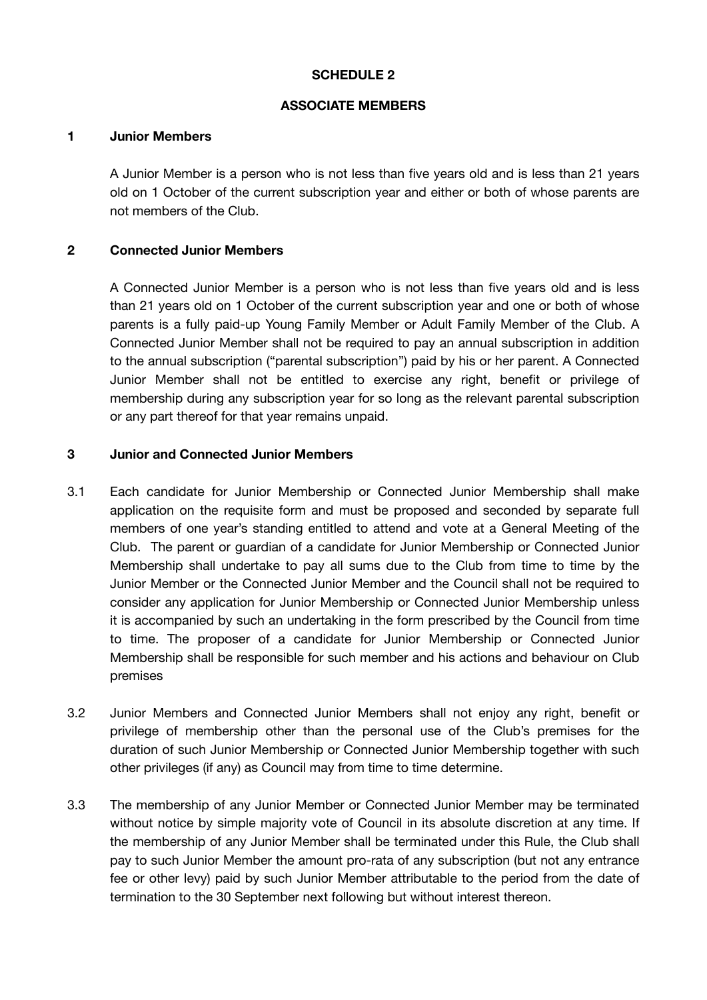### **SCHEDULE 2**

### **ASSOCIATE MEMBERS**

#### **1 Junior Members**

A Junior Member is a person who is not less than five years old and is less than 21 years old on 1 October of the current subscription year and either or both of whose parents are not members of the Club.

## **2 Connected Junior Members**

A Connected Junior Member is a person who is not less than five years old and is less than 21 years old on 1 October of the current subscription year and one or both of whose parents is a fully paid-up Young Family Member or Adult Family Member of the Club. A Connected Junior Member shall not be required to pay an annual subscription in addition to the annual subscription ("parental subscription") paid by his or her parent. A Connected Junior Member shall not be entitled to exercise any right, benefit or privilege of membership during any subscription year for so long as the relevant parental subscription or any part thereof for that year remains unpaid.

### **3 Junior and Connected Junior Members**

- 3.1 Each candidate for Junior Membership or Connected Junior Membership shall make application on the requisite form and must be proposed and seconded by separate full members of one year's standing entitled to attend and vote at a General Meeting of the Club. The parent or guardian of a candidate for Junior Membership or Connected Junior Membership shall undertake to pay all sums due to the Club from time to time by the Junior Member or the Connected Junior Member and the Council shall not be required to consider any application for Junior Membership or Connected Junior Membership unless it is accompanied by such an undertaking in the form prescribed by the Council from time to time. The proposer of a candidate for Junior Membership or Connected Junior Membership shall be responsible for such member and his actions and behaviour on Club premises
- 3.2 Junior Members and Connected Junior Members shall not enjoy any right, benefit or privilege of membership other than the personal use of the Club's premises for the duration of such Junior Membership or Connected Junior Membership together with such other privileges (if any) as Council may from time to time determine.
- 3.3 The membership of any Junior Member or Connected Junior Member may be terminated without notice by simple majority vote of Council in its absolute discretion at any time. If the membership of any Junior Member shall be terminated under this Rule, the Club shall pay to such Junior Member the amount pro-rata of any subscription (but not any entrance fee or other levy) paid by such Junior Member attributable to the period from the date of termination to the 30 September next following but without interest thereon.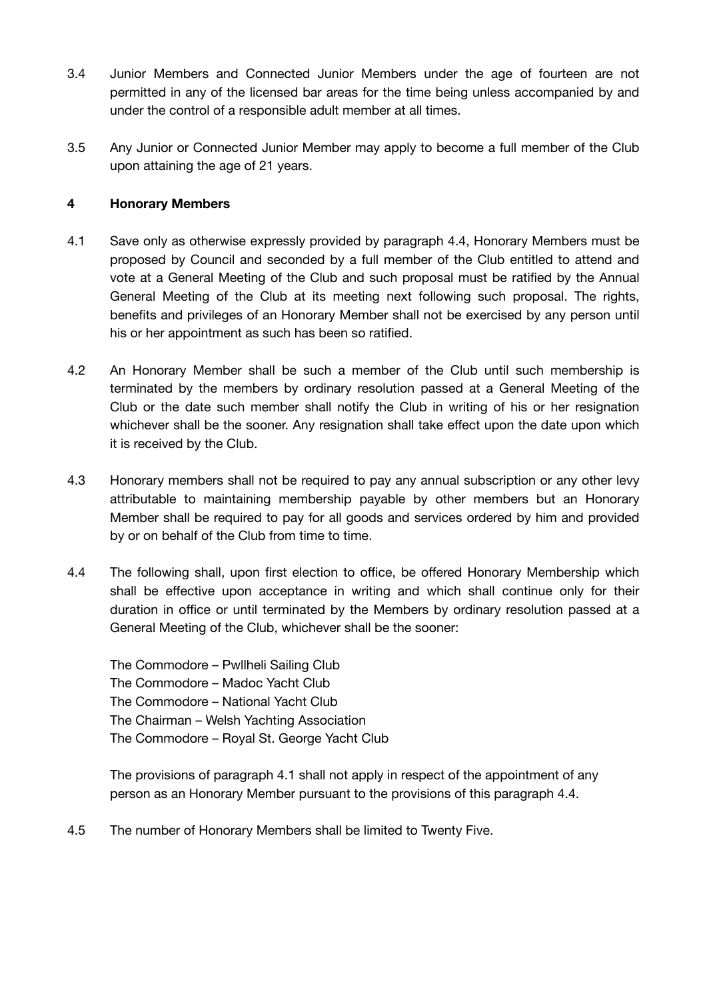- 3.4 Junior Members and Connected Junior Members under the age of fourteen are not permitted in any of the licensed bar areas for the time being unless accompanied by and under the control of a responsible adult member at all times.
- 3.5 Any Junior or Connected Junior Member may apply to become a full member of the Club upon attaining the age of 21 years.

### **4 Honorary Members**

- 4.1 Save only as otherwise expressly provided by paragraph 4.4, Honorary Members must be proposed by Council and seconded by a full member of the Club entitled to attend and vote at a General Meeting of the Club and such proposal must be ratified by the Annual General Meeting of the Club at its meeting next following such proposal. The rights, benefits and privileges of an Honorary Member shall not be exercised by any person until his or her appointment as such has been so ratified.
- 4.2 An Honorary Member shall be such a member of the Club until such membership is terminated by the members by ordinary resolution passed at a General Meeting of the Club or the date such member shall notify the Club in writing of his or her resignation whichever shall be the sooner. Any resignation shall take effect upon the date upon which it is received by the Club.
- 4.3 Honorary members shall not be required to pay any annual subscription or any other levy attributable to maintaining membership payable by other members but an Honorary Member shall be required to pay for all goods and services ordered by him and provided by or on behalf of the Club from time to time.
- 4.4 The following shall, upon first election to office, be offered Honorary Membership which shall be effective upon acceptance in writing and which shall continue only for their duration in office or until terminated by the Members by ordinary resolution passed at a General Meeting of the Club, whichever shall be the sooner:

The Commodore – Pwllheli Sailing Club The Commodore – Madoc Yacht Club The Commodore – National Yacht Club The Chairman – Welsh Yachting Association The Commodore – Royal St. George Yacht Club

The provisions of paragraph 4.1 shall not apply in respect of the appointment of any person as an Honorary Member pursuant to the provisions of this paragraph 4.4.

4.5 The number of Honorary Members shall be limited to Twenty Five.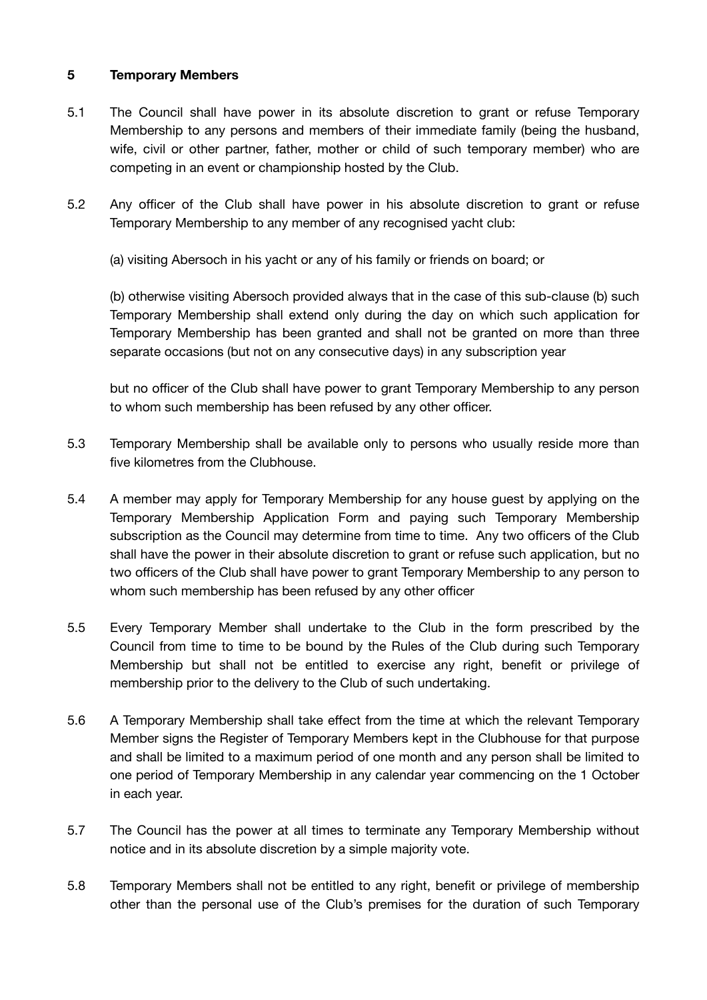### **5 Temporary Members**

- 5.1 The Council shall have power in its absolute discretion to grant or refuse Temporary Membership to any persons and members of their immediate family (being the husband, wife, civil or other partner, father, mother or child of such temporary member) who are competing in an event or championship hosted by the Club.
- 5.2 Any officer of the Club shall have power in his absolute discretion to grant or refuse Temporary Membership to any member of any recognised yacht club:

(a) visiting Abersoch in his yacht or any of his family or friends on board; or

(b) otherwise visiting Abersoch provided always that in the case of this sub-clause (b) such Temporary Membership shall extend only during the day on which such application for Temporary Membership has been granted and shall not be granted on more than three separate occasions (but not on any consecutive days) in any subscription year

but no officer of the Club shall have power to grant Temporary Membership to any person to whom such membership has been refused by any other officer.

- 5.3 Temporary Membership shall be available only to persons who usually reside more than five kilometres from the Clubhouse.
- 5.4 A member may apply for Temporary Membership for any house guest by applying on the Temporary Membership Application Form and paying such Temporary Membership subscription as the Council may determine from time to time. Any two officers of the Club shall have the power in their absolute discretion to grant or refuse such application, but no two officers of the Club shall have power to grant Temporary Membership to any person to whom such membership has been refused by any other officer
- 5.5 Every Temporary Member shall undertake to the Club in the form prescribed by the Council from time to time to be bound by the Rules of the Club during such Temporary Membership but shall not be entitled to exercise any right, benefit or privilege of membership prior to the delivery to the Club of such undertaking.
- 5.6 A Temporary Membership shall take effect from the time at which the relevant Temporary Member signs the Register of Temporary Members kept in the Clubhouse for that purpose and shall be limited to a maximum period of one month and any person shall be limited to one period of Temporary Membership in any calendar year commencing on the 1 October in each year.
- 5.7 The Council has the power at all times to terminate any Temporary Membership without notice and in its absolute discretion by a simple majority vote.
- 5.8 Temporary Members shall not be entitled to any right, benefit or privilege of membership other than the personal use of the Club's premises for the duration of such Temporary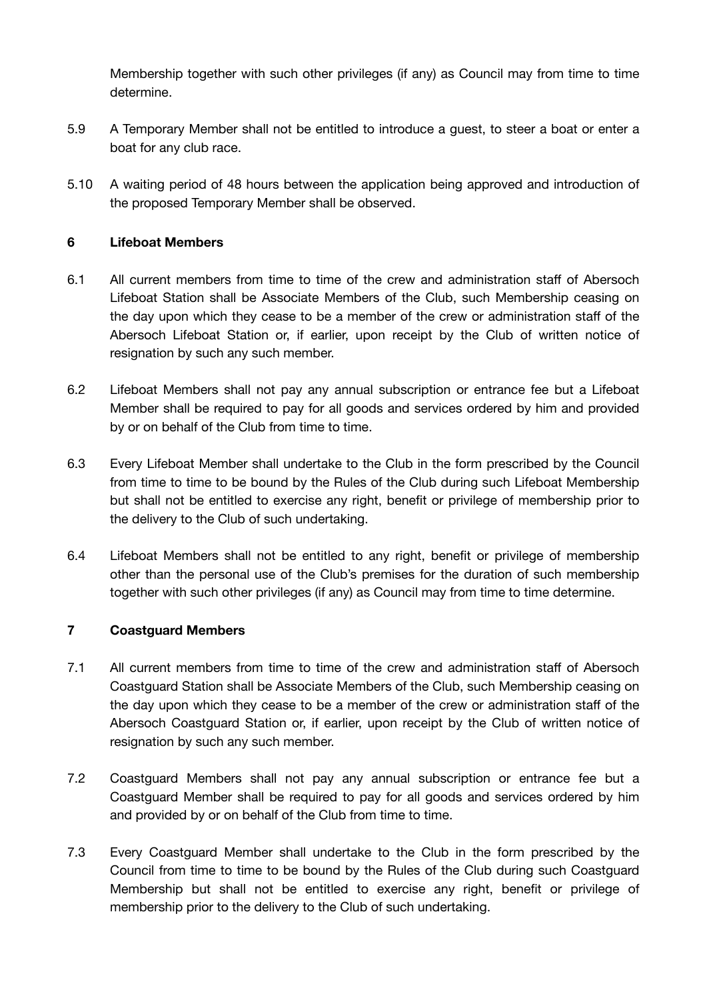Membership together with such other privileges (if any) as Council may from time to time determine.

- 5.9 A Temporary Member shall not be entitled to introduce a guest, to steer a boat or enter a boat for any club race.
- 5.10 A waiting period of 48 hours between the application being approved and introduction of the proposed Temporary Member shall be observed.

### **6 Lifeboat Members**

- 6.1 All current members from time to time of the crew and administration staff of Abersoch Lifeboat Station shall be Associate Members of the Club, such Membership ceasing on the day upon which they cease to be a member of the crew or administration staff of the Abersoch Lifeboat Station or, if earlier, upon receipt by the Club of written notice of resignation by such any such member.
- 6.2 Lifeboat Members shall not pay any annual subscription or entrance fee but a Lifeboat Member shall be required to pay for all goods and services ordered by him and provided by or on behalf of the Club from time to time.
- 6.3 Every Lifeboat Member shall undertake to the Club in the form prescribed by the Council from time to time to be bound by the Rules of the Club during such Lifeboat Membership but shall not be entitled to exercise any right, benefit or privilege of membership prior to the delivery to the Club of such undertaking.
- 6.4 Lifeboat Members shall not be entitled to any right, benefit or privilege of membership other than the personal use of the Club's premises for the duration of such membership together with such other privileges (if any) as Council may from time to time determine.

### **7 Coastguard Members**

- 7.1 All current members from time to time of the crew and administration staff of Abersoch Coastguard Station shall be Associate Members of the Club, such Membership ceasing on the day upon which they cease to be a member of the crew or administration staff of the Abersoch Coastguard Station or, if earlier, upon receipt by the Club of written notice of resignation by such any such member.
- 7.2 Coastguard Members shall not pay any annual subscription or entrance fee but a Coastguard Member shall be required to pay for all goods and services ordered by him and provided by or on behalf of the Club from time to time.
- 7.3 Every Coastguard Member shall undertake to the Club in the form prescribed by the Council from time to time to be bound by the Rules of the Club during such Coastguard Membership but shall not be entitled to exercise any right, benefit or privilege of membership prior to the delivery to the Club of such undertaking.